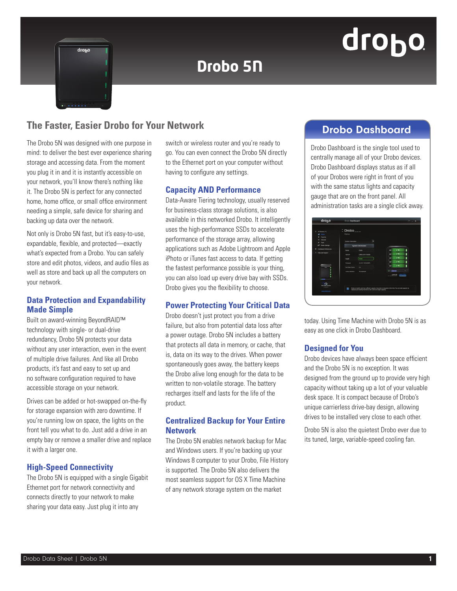## drobo

# drono

### **Drobo 5N**

#### **The Faster, Easier Drobo for Your Network** Manuscript Control of Drobo Dashboard

The Drobo 5N was designed with one purpose in mind: to deliver the best ever experience sharing storage and accessing data. From the moment you plug it in and it is instantly accessible on your network, you'll know there's nothing like it. The Drobo 5N is perfect for any connected home, home office, or small office environment needing a simple, safe device for sharing and backing up data over the network.

Not only is Drobo 5N fast, but it's easy-to-use, expandable, flexible, and protected—exactly what's expected from a Drobo. You can safely store and edit photos, videos, and audio files as well as store and back up all the computers on your network.

#### **Data Protection and Expandability Made Simple**

Built on award-winning BeyondRAID™ technology with single- or dual-drive redundancy, Drobo 5N protects your data without any user interaction, even in the event of multiple drive failures. And like all Drobo products, it's fast and easy to set up and no software configuration required to have accessible storage on your network.

Drives can be added or hot-swapped on-the-fly for storage expansion with zero downtime. If you're running low on space, the lights on the front tell you what to do. Just add a drive in an empty bay or remove a smaller drive and replace it with a larger one.

#### **High-Speed Connectivity**

The Drobo 5N is equipped with a single Gigabit Ethernet port for network connectivity and connects directly to your network to make sharing your data easy. Just plug it into any

switch or wireless router and you're ready to go. You can even connect the Drobo 5N directly to the Ethernet port on your computer without having to configure any settings.

#### **Capacity AND Performance**

Data-Aware Tiering technology, usually reserved for business-class storage solutions, is also available in this networked Drobo. It intelligently uses the high-performance SSDs to accelerate performance of the storage array, allowing applications such as Adobe Lightroom and Apple iPhoto or iTunes fast access to data. If getting the fastest performance possible is your thing, you can also load up every drive bay with SSDs. Drobo gives you the flexibility to choose.

#### **Power Protecting Your Critical Data**

Drobo doesn't just protect you from a drive failure, but also from potential data loss after a power outage. Drobo 5N includes a battery that protects all data in memory, or cache, that is, data on its way to the drives. When power spontaneously goes away, the battery keeps the Drobo alive long enough for the data to be written to non-volatile storage. The battery recharges itself and lasts for the life of the product.

#### **Centralized Backup for Your Entire Network**

The Drobo 5N enables network backup for Mac and Windows users. If you're backing up your Windows 8 computer to your Drobo, File History is supported. The Drobo 5N also delivers the most seamless support for OS X Time Machine of any network storage system on the market

Drobo Dashboard is the single tool used to centrally manage all of your Drobo devices. Drobo Dashboard displays status as if all of your Drobos were right in front of you with the same status lights and capacity gauge that are on the front panel. All administration tasks are a single click away.

| $12$ All Drobos (4)                                | C Drobo                   |                                                                   |  |                                                                                                           |   |  |
|----------------------------------------------------|---------------------------|-------------------------------------------------------------------|--|-----------------------------------------------------------------------------------------------------------|---|--|
| all bases                                          | <b>Status</b>             |                                                                   |  |                                                                                                           |   |  |
| Canadiv<br>٠                                       |                           |                                                                   |  |                                                                                                           |   |  |
| $\equiv$<br><b><i><u>Mikewan</u></i></b>           |                           |                                                                   |  |                                                                                                           |   |  |
| <b>Sould</b><br>×                                  | System Information        |                                                                   |  |                                                                                                           |   |  |
| $\mathbf{o}^{\mathbf{a}}$<br><b>Drobo Settings</b> | <b>System Information</b> |                                                                   |  |                                                                                                           |   |  |
| $\circ$<br><b>Darkhoard Preferences</b>            | Name                      | Orobo                                                             |  | ۰<br>278                                                                                                  | ٠ |  |
| ٠<br>Help and Support                              | Senat #                   | DRIN 123701700050                                                 |  | 2T <sub>B</sub><br>۰                                                                                      | ۱ |  |
|                                                    | Health.                   | Good                                                              |  | 2 TB<br>۰                                                                                                 | ۱ |  |
|                                                    | Firmware                  | 3.0.5 (7.125.60387)                                               |  | 2 TB<br>۰                                                                                                 | ٠ |  |
|                                                    | Hel Data Carite           | $^{2}$                                                            |  | 2T <sub>0</sub><br>œ                                                                                      | ï |  |
|                                                    | <b>Artist Interfere</b>   | <b>Thursdays</b>                                                  |  | $\sim$<br>$\cdots$                                                                                        |   |  |
|                                                    |                           |                                                                   |  | $-6478560$                                                                                                |   |  |
| 1.1111                                             |                           |                                                                   |  |                                                                                                           |   |  |
| œ<br>Hot Data Cache                                |                           |                                                                   |  |                                                                                                           |   |  |
| is active.                                         |                           |                                                                   |  | Drobo is healthy and has sufficient capacity. No action is required at this time. You can add capacity by |   |  |
| www.drobo.com                                      | п                         | replacing an existing hard drive with a drive of larger capacity. |  |                                                                                                           |   |  |

today. Using Time Machine with Drobo 5N is as easy as one click in Drobo Dashboard.

#### **Designed for You**

Drobo devices have always been space efficient and the Drobo 5N is no exception. It was designed from the ground up to provide very high capacity without taking up a lot of your valuable desk space. It is compact because of Drobo's unique carrierless drive-bay design, allowing drives to be installed very close to each other.

Drobo 5N is also the quietest Drobo ever due to its tuned, large, variable-speed cooling fan.